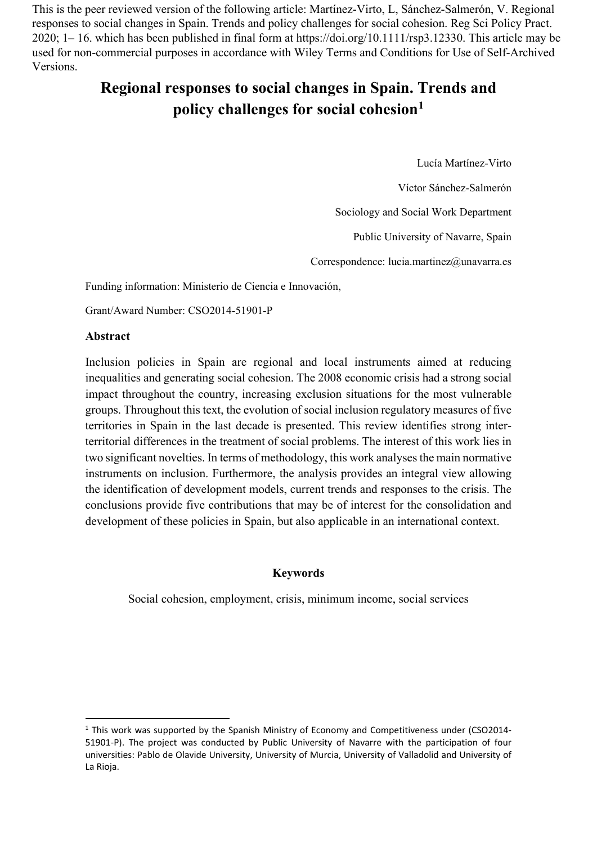This is the peer reviewed version of the following article: Martínez‐Virto, L, Sánchez‐Salmerón, V. Regional responses to social changes in Spain. Trends and policy challenges for social cohesion. Reg Sci Policy Pract. 2020; 1– 16. which has been published in final form at https://doi.org/10.1111/rsp3.12330. This article may be used for non-commercial purposes in accordance with Wiley Terms and Conditions for Use of Self-Archived Versions.

# **Regional responses to social changes in Spain. Trends and policy challenges for social cohesion[1](#page-0-0)**

Lucía Martínez-Virto

Víctor Sánchez-Salmerón

Sociology and Social Work Department

Public University of Navarre, Spain

Correspondence: lucia.martinez@unavarra.es

Funding information: Ministerio de Ciencia e Innovación,

Grant/Award Number: CSO2014-51901-P

#### **Abstract**

Inclusion policies in Spain are regional and local instruments aimed at reducing inequalities and generating social cohesion. The 2008 economic crisis had a strong social impact throughout the country, increasing exclusion situations for the most vulnerable groups. Throughout this text, the evolution of social inclusion regulatory measures of five territories in Spain in the last decade is presented. This review identifies strong interterritorial differences in the treatment of social problems. The interest of this work lies in two significant novelties. In terms of methodology, this work analyses the main normative instruments on inclusion. Furthermore, the analysis provides an integral view allowing the identification of development models, current trends and responses to the crisis. The conclusions provide five contributions that may be of interest for the consolidation and development of these policies in Spain, but also applicable in an international context.

#### **Keywords**

Social cohesion, employment, crisis, minimum income, social services

<span id="page-0-0"></span><sup>&</sup>lt;sup>1</sup> This work was supported by the Spanish Ministry of Economy and Competitiveness under (CSO2014-51901-P). The project was conducted by Public University of Navarre with the participation of four universities: Pablo de Olavide University, University of Murcia, University of Valladolid and University of La Rioja.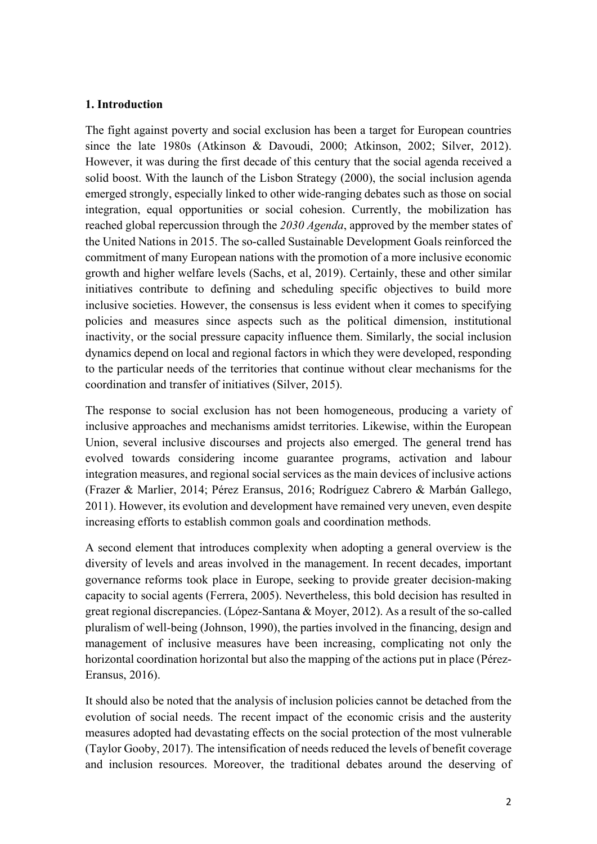#### **1. Introduction**

The fight against poverty and social exclusion has been a target for European countries since the late 1980s (Atkinson & Davoudi, 2000; Atkinson, 2002; Silver, 2012). However, it was during the first decade of this century that the social agenda received a solid boost. With the launch of the Lisbon Strategy (2000), the social inclusion agenda emerged strongly, especially linked to other wide-ranging debates such as those on social integration, equal opportunities or social cohesion. Currently, the mobilization has reached global repercussion through the *2030 Agenda*, approved by the member states of the United Nations in 2015. The so-called Sustainable Development Goals reinforced the commitment of many European nations with the promotion of a more inclusive economic growth and higher welfare levels (Sachs, et al, 2019). Certainly, these and other similar initiatives contribute to defining and scheduling specific objectives to build more inclusive societies. However, the consensus is less evident when it comes to specifying policies and measures since aspects such as the political dimension, institutional inactivity, or the social pressure capacity influence them. Similarly, the social inclusion dynamics depend on local and regional factors in which they were developed, responding to the particular needs of the territories that continue without clear mechanisms for the coordination and transfer of initiatives (Silver, 2015).

The response to social exclusion has not been homogeneous, producing a variety of inclusive approaches and mechanisms amidst territories. Likewise, within the European Union, several inclusive discourses and projects also emerged. The general trend has evolved towards considering income guarantee programs, activation and labour integration measures, and regional social services as the main devices of inclusive actions (Frazer & Marlier, 2014; Pérez Eransus, 2016; Rodríguez Cabrero & Marbán Gallego, 2011). However, its evolution and development have remained very uneven, even despite increasing efforts to establish common goals and coordination methods.

A second element that introduces complexity when adopting a general overview is the diversity of levels and areas involved in the management. In recent decades, important governance reforms took place in Europe, seeking to provide greater decision-making capacity to social agents (Ferrera, 2005). Nevertheless, this bold decision has resulted in great regional discrepancies. (López-Santana & Moyer, 2012). As a result of the so-called pluralism of well-being (Johnson, 1990), the parties involved in the financing, design and management of inclusive measures have been increasing, complicating not only the horizontal coordination horizontal but also the mapping of the actions put in place (Pérez-Eransus, 2016).

It should also be noted that the analysis of inclusion policies cannot be detached from the evolution of social needs. The recent impact of the economic crisis and the austerity measures adopted had devastating effects on the social protection of the most vulnerable (Taylor Gooby, 2017). The intensification of needs reduced the levels of benefit coverage and inclusion resources. Moreover, the traditional debates around the deserving of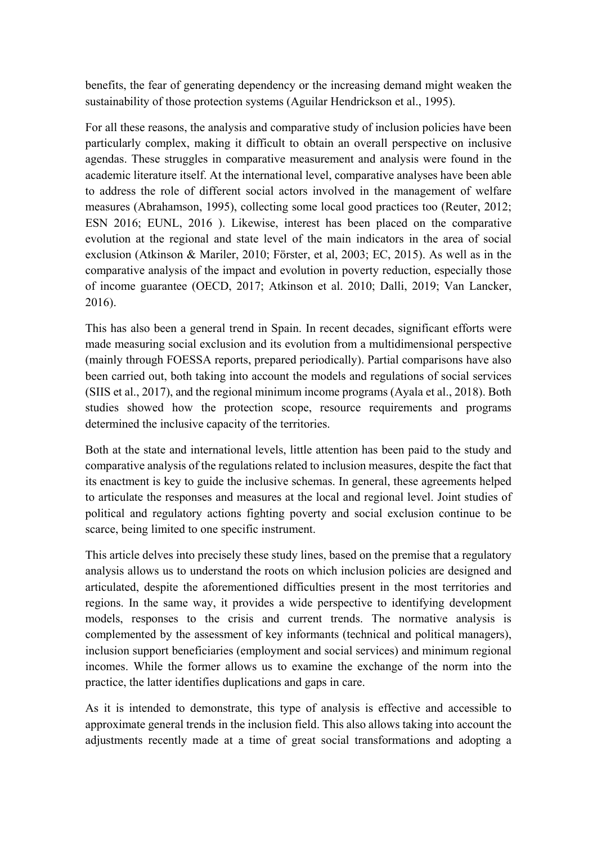benefits, the fear of generating dependency or the increasing demand might weaken the sustainability of those protection systems (Aguilar Hendrickson et al., 1995).

For all these reasons, the analysis and comparative study of inclusion policies have been particularly complex, making it difficult to obtain an overall perspective on inclusive agendas. These struggles in comparative measurement and analysis were found in the academic literature itself. At the international level, comparative analyses have been able to address the role of different social actors involved in the management of welfare measures (Abrahamson, 1995), collecting some local good practices too (Reuter, 2012; ESN 2016; EUNL, 2016 ). Likewise, interest has been placed on the comparative evolution at the regional and state level of the main indicators in the area of social exclusion (Atkinson & Mariler, 2010; Förster, et al, 2003; EC, 2015). As well as in the comparative analysis of the impact and evolution in poverty reduction, especially those of income guarantee (OECD, 2017; Atkinson et al. 2010; Dalli, 2019; Van Lancker, 2016).

This has also been a general trend in Spain. In recent decades, significant efforts were made measuring social exclusion and its evolution from a multidimensional perspective (mainly through FOESSA reports, prepared periodically). Partial comparisons have also been carried out, both taking into account the models and regulations of social services (SIIS et al., 2017), and the regional minimum income programs (Ayala et al., 2018). Both studies showed how the protection scope, resource requirements and programs determined the inclusive capacity of the territories.

Both at the state and international levels, little attention has been paid to the study and comparative analysis of the regulations related to inclusion measures, despite the fact that its enactment is key to guide the inclusive schemas. In general, these agreements helped to articulate the responses and measures at the local and regional level. Joint studies of political and regulatory actions fighting poverty and social exclusion continue to be scarce, being limited to one specific instrument.

This article delves into precisely these study lines, based on the premise that a regulatory analysis allows us to understand the roots on which inclusion policies are designed and articulated, despite the aforementioned difficulties present in the most territories and regions. In the same way, it provides a wide perspective to identifying development models, responses to the crisis and current trends. The normative analysis is complemented by the assessment of key informants (technical and political managers), inclusion support beneficiaries (employment and social services) and minimum regional incomes. While the former allows us to examine the exchange of the norm into the practice, the latter identifies duplications and gaps in care.

As it is intended to demonstrate, this type of analysis is effective and accessible to approximate general trends in the inclusion field. This also allows taking into account the adjustments recently made at a time of great social transformations and adopting a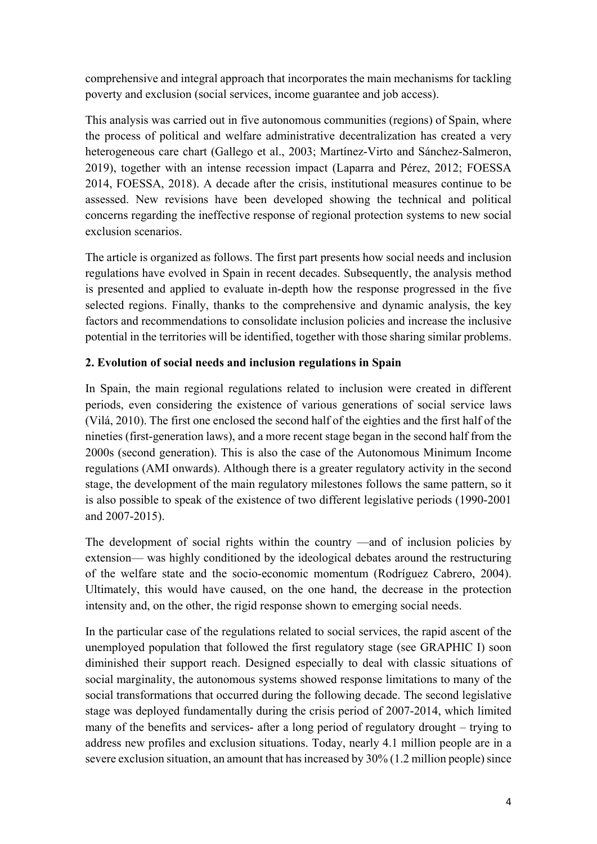comprehensive and integral approach that incorporates the main mechanisms for tackling poverty and exclusion (social services, income guarantee and job access).

This analysis was carried out in five autonomous communities (regions) of Spain, where the process of political and welfare administrative decentralization has created a very heterogeneous care chart (Gallego et al., 2003; Martínez-Virto and Sánchez-Salmeron, 2019), together with an intense recession impact (Laparra and Pérez, 2012; FOESSA 2014, FOESSA, 2018). A decade after the crisis, institutional measures continue to be assessed. New revisions have been developed showing the technical and political concerns regarding the ineffective response of regional protection systems to new social exclusion scenarios.

The article is organized as follows. The first part presents how social needs and inclusion regulations have evolved in Spain in recent decades. Subsequently, the analysis method is presented and applied to evaluate in-depth how the response progressed in the five selected regions. Finally, thanks to the comprehensive and dynamic analysis, the key factors and recommendations to consolidate inclusion policies and increase the inclusive potential in the territories will be identified, together with those sharing similar problems.

# **2. Evolution of social needs and inclusion regulations in Spain**

In Spain, the main regional regulations related to inclusion were created in different periods, even considering the existence of various generations of social service laws (Vilá, 2010). The first one enclosed the second half of the eighties and the first half of the nineties (first-generation laws), and a more recent stage began in the second half from the 2000s (second generation). This is also the case of the Autonomous Minimum Income regulations (AMI onwards). Although there is a greater regulatory activity in the second stage, the development of the main regulatory milestones follows the same pattern, so it is also possible to speak of the existence of two different legislative periods (1990-2001 and 2007-2015).

The development of social rights within the country —and of inclusion policies by extension— was highly conditioned by the ideological debates around the restructuring of the welfare state and the socio-economic momentum (Rodríguez Cabrero, 2004). Ultimately, this would have caused, on the one hand, the decrease in the protection intensity and, on the other, the rigid response shown to emerging social needs.

In the particular case of the regulations related to social services, the rapid ascent of the unemployed population that followed the first regulatory stage (see GRAPHIC I) soon diminished their support reach. Designed especially to deal with classic situations of social marginality, the autonomous systems showed response limitations to many of the social transformations that occurred during the following decade. The second legislative stage was deployed fundamentally during the crisis period of 2007-2014, which limited many of the benefits and services- after a long period of regulatory drought – trying to address new profiles and exclusion situations. Today, nearly 4.1 million people are in a severe exclusion situation, an amount that has increased by 30% (1.2 million people) since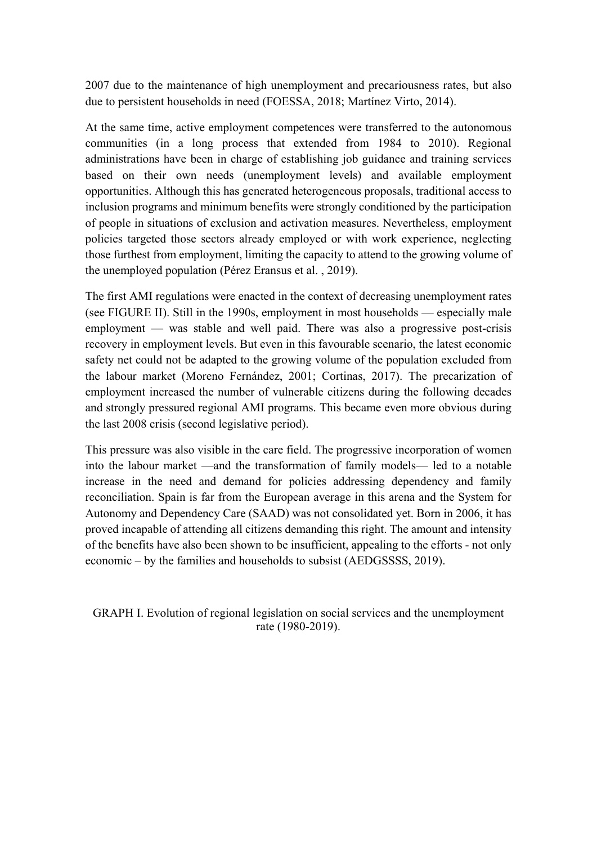2007 due to the maintenance of high unemployment and precariousness rates, but also due to persistent households in need (FOESSA, 2018; Martínez Virto, 2014).

At the same time, active employment competences were transferred to the autonomous communities (in a long process that extended from 1984 to 2010). Regional administrations have been in charge of establishing job guidance and training services based on their own needs (unemployment levels) and available employment opportunities. Although this has generated heterogeneous proposals, traditional access to inclusion programs and minimum benefits were strongly conditioned by the participation of people in situations of exclusion and activation measures. Nevertheless, employment policies targeted those sectors already employed or with work experience, neglecting those furthest from employment, limiting the capacity to attend to the growing volume of the unemployed population (Pérez Eransus et al. , 2019).

The first AMI regulations were enacted in the context of decreasing unemployment rates (see FIGURE II). Still in the 1990s, employment in most households — especially male employment — was stable and well paid. There was also a progressive post-crisis recovery in employment levels. But even in this favourable scenario, the latest economic safety net could not be adapted to the growing volume of the population excluded from the labour market (Moreno Fernández, 2001; Cortinas, 2017). The precarization of employment increased the number of vulnerable citizens during the following decades and strongly pressured regional AMI programs. This became even more obvious during the last 2008 crisis (second legislative period).

This pressure was also visible in the care field. The progressive incorporation of women into the labour market —and the transformation of family models— led to a notable increase in the need and demand for policies addressing dependency and family reconciliation. Spain is far from the European average in this arena and the System for Autonomy and Dependency Care (SAAD) was not consolidated yet. Born in 2006, it has proved incapable of attending all citizens demanding this right. The amount and intensity of the benefits have also been shown to be insufficient, appealing to the efforts - not only economic – by the families and households to subsist (AEDGSSSS, 2019).

GRAPH I. Evolution of regional legislation on social services and the unemployment rate (1980-2019).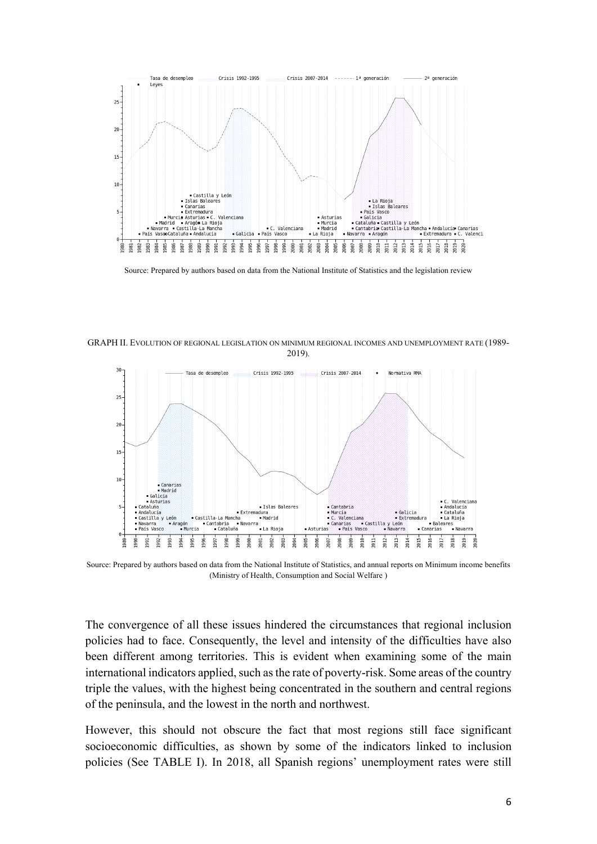

Source: Prepared by authors based on data from the National Institute of Statistics and the legislation review

GRAPH II. EVOLUTION OF REGIONAL LEGISLATION ON MINIMUM REGIONAL INCOMES AND UNEMPLOYMENT RATE (1989- 2019).



Source: Prepared by authors based on data from the National Institute of Statistics, and annual reports on Minimum income benefits (Ministry of Health, Consumption and Social Welfare )

The convergence of all these issues hindered the circumstances that regional inclusion policies had to face. Consequently, the level and intensity of the difficulties have also been different among territories. This is evident when examining some of the main international indicators applied, such as the rate of poverty-risk. Some areas of the country triple the values, with the highest being concentrated in the southern and central regions of the peninsula, and the lowest in the north and northwest.

However, this should not obscure the fact that most regions still face significant socioeconomic difficulties, as shown by some of the indicators linked to inclusion policies (See TABLE I). In 2018, all Spanish regions' unemployment rates were still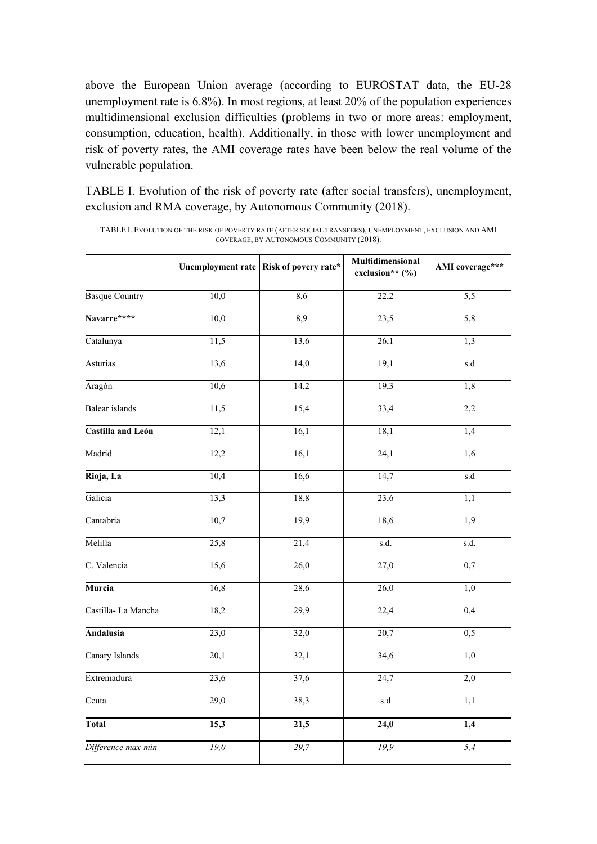above the European Union average (according to EUROSTAT data, the EU-28 unemployment rate is 6.8%). In most regions, at least 20% of the population experiences multidimensional exclusion difficulties (problems in two or more areas: employment, consumption, education, health). Additionally, in those with lower unemployment and risk of poverty rates, the AMI coverage rates have been below the real volume of the vulnerable population.

TABLE I. Evolution of the risk of poverty rate (after social transfers), unemployment, exclusion and RMA coverage, by Autonomous Community (2018).

|                       |      | Unemployment rate Risk of povery rate* | Multidimensional<br>exclusion** $(%)$ | AMI coverage***  |
|-----------------------|------|----------------------------------------|---------------------------------------|------------------|
| <b>Basque Country</b> | 10,0 | 8,6                                    | 22,2                                  | 5,5              |
| Navarre****           | 10,0 | 8,9                                    | 23,5                                  | 5,8              |
| Catalunya             | 11,5 | 13,6                                   | 26,1                                  | 1,3              |
| Asturias              | 13,6 | 14,0                                   | 19,1                                  | s.d              |
| Aragón                | 10,6 | 14,2                                   | 19,3                                  | 1,8              |
| Balear islands        | 11,5 | 15,4                                   | 33,4                                  | 2,2              |
| Castilla and León     | 12,1 | 16,1                                   | 18,1                                  | 1,4              |
| Madrid                | 12,2 | 16,1                                   | 24,1                                  | 1,6              |
| Rioja, La             | 10,4 | 16,6                                   | 14,7                                  | s.d              |
| Galicia               | 13,3 | 18,8                                   | 23,6                                  | 1,1              |
| Cantabria             | 10,7 | 19,9                                   | 18,6                                  | 1,9              |
| Melilla               | 25,8 | 21,4                                   | s.d.                                  | s.d.             |
| C. Valencia           | 15,6 | 26,0                                   | 27,0                                  | 0,7              |
| Murcia                | 16,8 | 28,6                                   | $\overline{26,0}$                     | $\overline{1,0}$ |
| Castilla-La Mancha    | 18,2 | 29,9                                   | 22,4                                  | 0,4              |
| Andalusia             | 23,0 | 32,0                                   | 20,7                                  | 0,5              |
| Canary Islands        | 20,1 | 32,1                                   | 34,6                                  | 1,0              |
| Extremadura           | 23,6 | 37,6                                   | 24,7                                  | 2,0              |
| Ceuta                 | 29,0 | 38,3                                   | s.d                                   | $\overline{1,1}$ |
| <b>Total</b>          | 15,3 | 21,5                                   | 24,0                                  | 1,4              |
| Difference max-min    | 19,0 | $\overline{29,7}$                      | 19,9                                  | $\overline{5,4}$ |

TABLE I. EVOLUTION OF THE RISK OF POVERTY RATE (AFTER SOCIAL TRANSFERS), UNEMPLOYMENT, EXCLUSION AND AMI COVERAGE, BY AUTONOMOUS COMMUNITY (2018).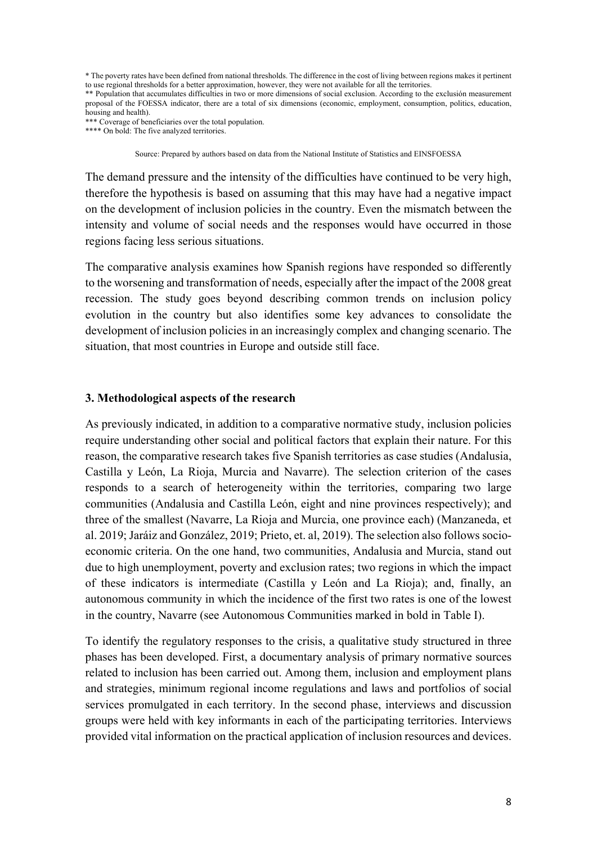\* The poverty rates have been defined from national thresholds. The difference in the cost of living between regions makes it pertinent to use regional thresholds for a better approximation, however, they were not available for all the territories.

\*\* Population that accumulates difficulties in two or more dimensions of social exclusion. According to the exclusión measurement proposal of the FOESSA indicator, there are a total of six dimensions (economic, employment, consumption, politics, education, housing and health).

\*\*\* Coverage of beneficiaries over the total population.

\*\*\*\* On bold: The five analyzed territories.

Source: Prepared by authors based on data from the National Institute of Statistics and EINSFOESSA

The demand pressure and the intensity of the difficulties have continued to be very high, therefore the hypothesis is based on assuming that this may have had a negative impact on the development of inclusion policies in the country. Even the mismatch between the intensity and volume of social needs and the responses would have occurred in those regions facing less serious situations.

The comparative analysis examines how Spanish regions have responded so differently to the worsening and transformation of needs, especially after the impact of the 2008 great recession. The study goes beyond describing common trends on inclusion policy evolution in the country but also identifies some key advances to consolidate the development of inclusion policies in an increasingly complex and changing scenario. The situation, that most countries in Europe and outside still face.

#### **3. Methodological aspects of the research**

As previously indicated, in addition to a comparative normative study, inclusion policies require understanding other social and political factors that explain their nature. For this reason, the comparative research takes five Spanish territories as case studies (Andalusia, Castilla y León, La Rioja, Murcia and Navarre). The selection criterion of the cases responds to a search of heterogeneity within the territories, comparing two large communities (Andalusia and Castilla León, eight and nine provinces respectively); and three of the smallest (Navarre, La Rioja and Murcia, one province each) (Manzaneda, et al. 2019; Jaráiz and González, 2019; Prieto, et. al, 2019). The selection also follows socioeconomic criteria. On the one hand, two communities, Andalusia and Murcia, stand out due to high unemployment, poverty and exclusion rates; two regions in which the impact of these indicators is intermediate (Castilla y León and La Rioja); and, finally, an autonomous community in which the incidence of the first two rates is one of the lowest in the country, Navarre (see Autonomous Communities marked in bold in Table I).

To identify the regulatory responses to the crisis, a qualitative study structured in three phases has been developed. First, a documentary analysis of primary normative sources related to inclusion has been carried out. Among them, inclusion and employment plans and strategies, minimum regional income regulations and laws and portfolios of social services promulgated in each territory. In the second phase, interviews and discussion groups were held with key informants in each of the participating territories. Interviews provided vital information on the practical application of inclusion resources and devices.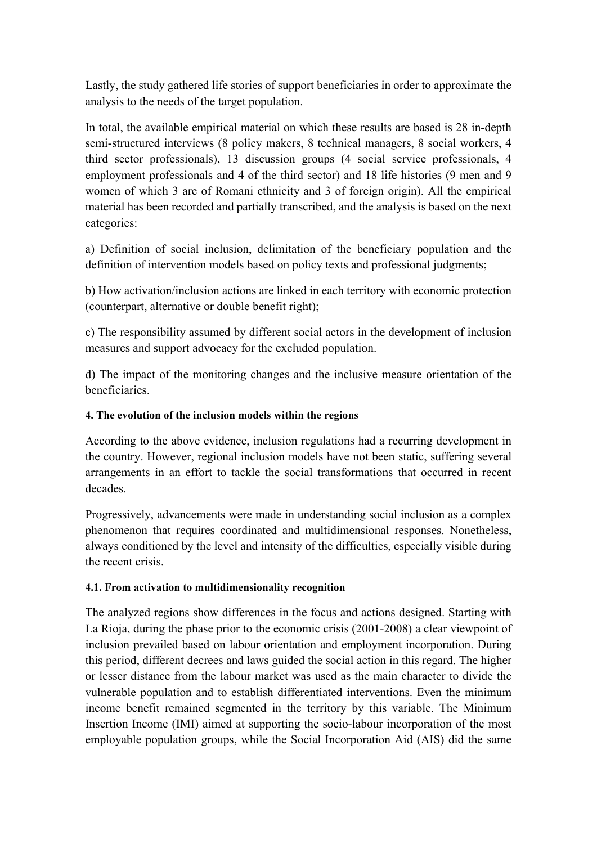Lastly, the study gathered life stories of support beneficiaries in order to approximate the analysis to the needs of the target population.

In total, the available empirical material on which these results are based is 28 in-depth semi-structured interviews (8 policy makers, 8 technical managers, 8 social workers, 4 third sector professionals), 13 discussion groups (4 social service professionals, 4 employment professionals and 4 of the third sector) and 18 life histories (9 men and 9 women of which 3 are of Romani ethnicity and 3 of foreign origin). All the empirical material has been recorded and partially transcribed, and the analysis is based on the next categories:

a) Definition of social inclusion, delimitation of the beneficiary population and the definition of intervention models based on policy texts and professional judgments;

b) How activation/inclusion actions are linked in each territory with economic protection (counterpart, alternative or double benefit right);

c) The responsibility assumed by different social actors in the development of inclusion measures and support advocacy for the excluded population.

d) The impact of the monitoring changes and the inclusive measure orientation of the beneficiaries.

# **4. The evolution of the inclusion models within the regions**

According to the above evidence, inclusion regulations had a recurring development in the country. However, regional inclusion models have not been static, suffering several arrangements in an effort to tackle the social transformations that occurred in recent decades.

Progressively, advancements were made in understanding social inclusion as a complex phenomenon that requires coordinated and multidimensional responses. Nonetheless, always conditioned by the level and intensity of the difficulties, especially visible during the recent crisis.

# **4.1. From activation to multidimensionality recognition**

The analyzed regions show differences in the focus and actions designed. Starting with La Rioja, during the phase prior to the economic crisis (2001-2008) a clear viewpoint of inclusion prevailed based on labour orientation and employment incorporation. During this period, different decrees and laws guided the social action in this regard. The higher or lesser distance from the labour market was used as the main character to divide the vulnerable population and to establish differentiated interventions. Even the minimum income benefit remained segmented in the territory by this variable. The Minimum Insertion Income (IMI) aimed at supporting the socio-labour incorporation of the most employable population groups, while the Social Incorporation Aid (AIS) did the same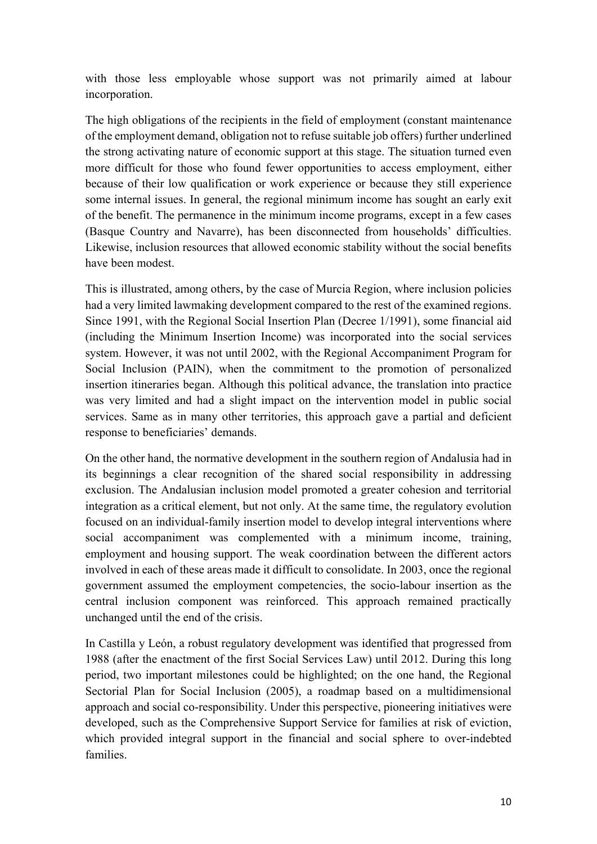with those less employable whose support was not primarily aimed at labour incorporation.

The high obligations of the recipients in the field of employment (constant maintenance of the employment demand, obligation not to refuse suitable job offers) further underlined the strong activating nature of economic support at this stage. The situation turned even more difficult for those who found fewer opportunities to access employment, either because of their low qualification or work experience or because they still experience some internal issues. In general, the regional minimum income has sought an early exit of the benefit. The permanence in the minimum income programs, except in a few cases (Basque Country and Navarre), has been disconnected from households' difficulties. Likewise, inclusion resources that allowed economic stability without the social benefits have been modest.

This is illustrated, among others, by the case of Murcia Region, where inclusion policies had a very limited lawmaking development compared to the rest of the examined regions. Since 1991, with the Regional Social Insertion Plan (Decree 1/1991), some financial aid (including the Minimum Insertion Income) was incorporated into the social services system. However, it was not until 2002, with the Regional Accompaniment Program for Social Inclusion (PAIN), when the commitment to the promotion of personalized insertion itineraries began. Although this political advance, the translation into practice was very limited and had a slight impact on the intervention model in public social services. Same as in many other territories, this approach gave a partial and deficient response to beneficiaries' demands.

On the other hand, the normative development in the southern region of Andalusia had in its beginnings a clear recognition of the shared social responsibility in addressing exclusion. The Andalusian inclusion model promoted a greater cohesion and territorial integration as a critical element, but not only. At the same time, the regulatory evolution focused on an individual-family insertion model to develop integral interventions where social accompaniment was complemented with a minimum income, training, employment and housing support. The weak coordination between the different actors involved in each of these areas made it difficult to consolidate. In 2003, once the regional government assumed the employment competencies, the socio-labour insertion as the central inclusion component was reinforced. This approach remained practically unchanged until the end of the crisis.

In Castilla y León, a robust regulatory development was identified that progressed from 1988 (after the enactment of the first Social Services Law) until 2012. During this long period, two important milestones could be highlighted; on the one hand, the Regional Sectorial Plan for Social Inclusion (2005), a roadmap based on a multidimensional approach and social co-responsibility. Under this perspective, pioneering initiatives were developed, such as the Comprehensive Support Service for families at risk of eviction, which provided integral support in the financial and social sphere to over-indebted families.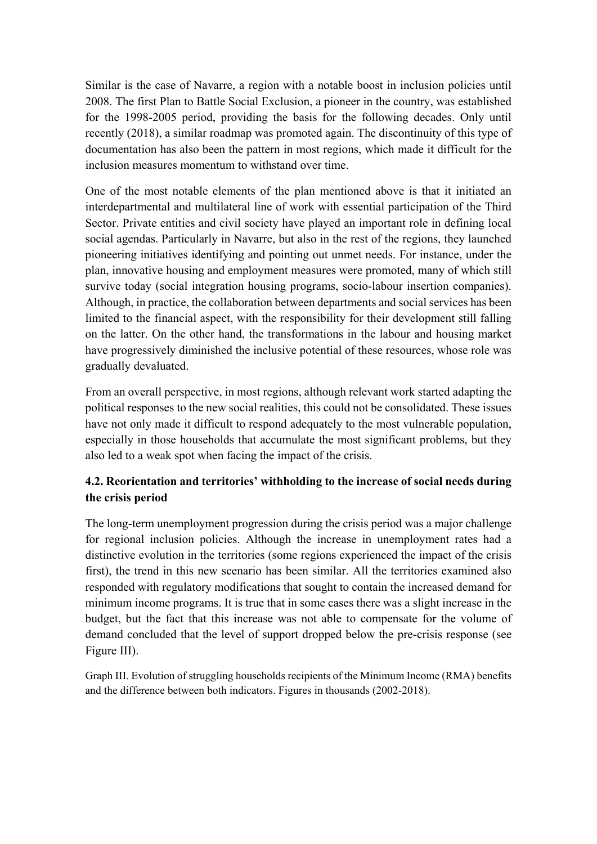Similar is the case of Navarre, a region with a notable boost in inclusion policies until 2008. The first Plan to Battle Social Exclusion, a pioneer in the country, was established for the 1998-2005 period, providing the basis for the following decades. Only until recently (2018), a similar roadmap was promoted again. The discontinuity of this type of documentation has also been the pattern in most regions, which made it difficult for the inclusion measures momentum to withstand over time.

One of the most notable elements of the plan mentioned above is that it initiated an interdepartmental and multilateral line of work with essential participation of the Third Sector. Private entities and civil society have played an important role in defining local social agendas. Particularly in Navarre, but also in the rest of the regions, they launched pioneering initiatives identifying and pointing out unmet needs. For instance, under the plan, innovative housing and employment measures were promoted, many of which still survive today (social integration housing programs, socio-labour insertion companies). Although, in practice, the collaboration between departments and social services has been limited to the financial aspect, with the responsibility for their development still falling on the latter. On the other hand, the transformations in the labour and housing market have progressively diminished the inclusive potential of these resources, whose role was gradually devaluated.

From an overall perspective, in most regions, although relevant work started adapting the political responses to the new social realities, this could not be consolidated. These issues have not only made it difficult to respond adequately to the most vulnerable population, especially in those households that accumulate the most significant problems, but they also led to a weak spot when facing the impact of the crisis.

# **4.2. Reorientation and territories' withholding to the increase of social needs during the crisis period**

The long-term unemployment progression during the crisis period was a major challenge for regional inclusion policies. Although the increase in unemployment rates had a distinctive evolution in the territories (some regions experienced the impact of the crisis first), the trend in this new scenario has been similar. All the territories examined also responded with regulatory modifications that sought to contain the increased demand for minimum income programs. It is true that in some cases there was a slight increase in the budget, but the fact that this increase was not able to compensate for the volume of demand concluded that the level of support dropped below the pre-crisis response (see Figure III).

Graph III. Evolution of struggling households recipients of the Minimum Income (RMA) benefits and the difference between both indicators. Figures in thousands (2002-2018).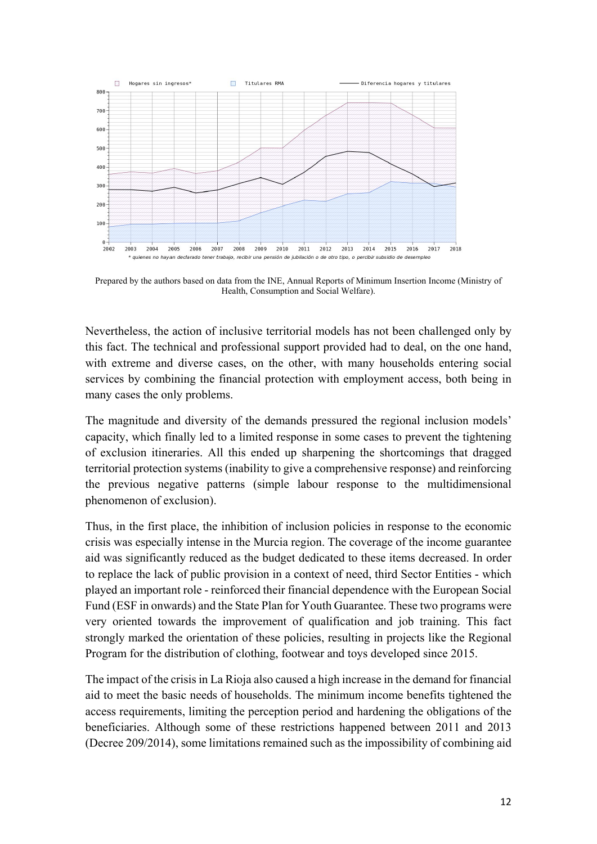

Prepared by the authors based on data from the INE, Annual Reports of Minimum Insertion Income (Ministry of Health, Consumption and Social Welfare).

Nevertheless, the action of inclusive territorial models has not been challenged only by this fact. The technical and professional support provided had to deal, on the one hand, with extreme and diverse cases, on the other, with many households entering social services by combining the financial protection with employment access, both being in many cases the only problems.

The magnitude and diversity of the demands pressured the regional inclusion models' capacity, which finally led to a limited response in some cases to prevent the tightening of exclusion itineraries. All this ended up sharpening the shortcomings that dragged territorial protection systems (inability to give a comprehensive response) and reinforcing the previous negative patterns (simple labour response to the multidimensional phenomenon of exclusion).

Thus, in the first place, the inhibition of inclusion policies in response to the economic crisis was especially intense in the Murcia region. The coverage of the income guarantee aid was significantly reduced as the budget dedicated to these items decreased. In order to replace the lack of public provision in a context of need, third Sector Entities - which played an important role - reinforced their financial dependence with the European Social Fund (ESF in onwards) and the State Plan for Youth Guarantee. These two programs were very oriented towards the improvement of qualification and job training. This fact strongly marked the orientation of these policies, resulting in projects like the Regional Program for the distribution of clothing, footwear and toys developed since 2015.

The impact of the crisis in La Rioja also caused a high increase in the demand for financial aid to meet the basic needs of households. The minimum income benefits tightened the access requirements, limiting the perception period and hardening the obligations of the beneficiaries. Although some of these restrictions happened between 2011 and 2013 (Decree 209/2014), some limitations remained such as the impossibility of combining aid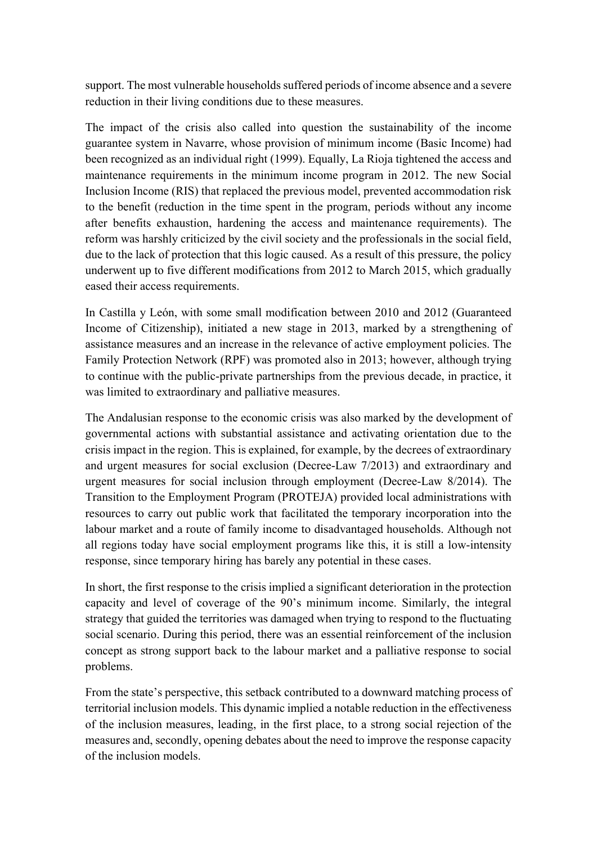support. The most vulnerable households suffered periods of income absence and a severe reduction in their living conditions due to these measures.

The impact of the crisis also called into question the sustainability of the income guarantee system in Navarre, whose provision of minimum income (Basic Income) had been recognized as an individual right (1999). Equally, La Rioja tightened the access and maintenance requirements in the minimum income program in 2012. The new Social Inclusion Income (RIS) that replaced the previous model, prevented accommodation risk to the benefit (reduction in the time spent in the program, periods without any income after benefits exhaustion, hardening the access and maintenance requirements). The reform was harshly criticized by the civil society and the professionals in the social field, due to the lack of protection that this logic caused. As a result of this pressure, the policy underwent up to five different modifications from 2012 to March 2015, which gradually eased their access requirements.

In Castilla y León, with some small modification between 2010 and 2012 (Guaranteed Income of Citizenship), initiated a new stage in 2013, marked by a strengthening of assistance measures and an increase in the relevance of active employment policies. The Family Protection Network (RPF) was promoted also in 2013; however, although trying to continue with the public-private partnerships from the previous decade, in practice, it was limited to extraordinary and palliative measures.

The Andalusian response to the economic crisis was also marked by the development of governmental actions with substantial assistance and activating orientation due to the crisis impact in the region. This is explained, for example, by the decrees of extraordinary and urgent measures for social exclusion (Decree-Law 7/2013) and extraordinary and urgent measures for social inclusion through employment (Decree-Law 8/2014). The Transition to the Employment Program (PROTEJA) provided local administrations with resources to carry out public work that facilitated the temporary incorporation into the labour market and a route of family income to disadvantaged households. Although not all regions today have social employment programs like this, it is still a low-intensity response, since temporary hiring has barely any potential in these cases.

In short, the first response to the crisis implied a significant deterioration in the protection capacity and level of coverage of the 90's minimum income. Similarly, the integral strategy that guided the territories was damaged when trying to respond to the fluctuating social scenario. During this period, there was an essential reinforcement of the inclusion concept as strong support back to the labour market and a palliative response to social problems.

From the state's perspective, this setback contributed to a downward matching process of territorial inclusion models. This dynamic implied a notable reduction in the effectiveness of the inclusion measures, leading, in the first place, to a strong social rejection of the measures and, secondly, opening debates about the need to improve the response capacity of the inclusion models.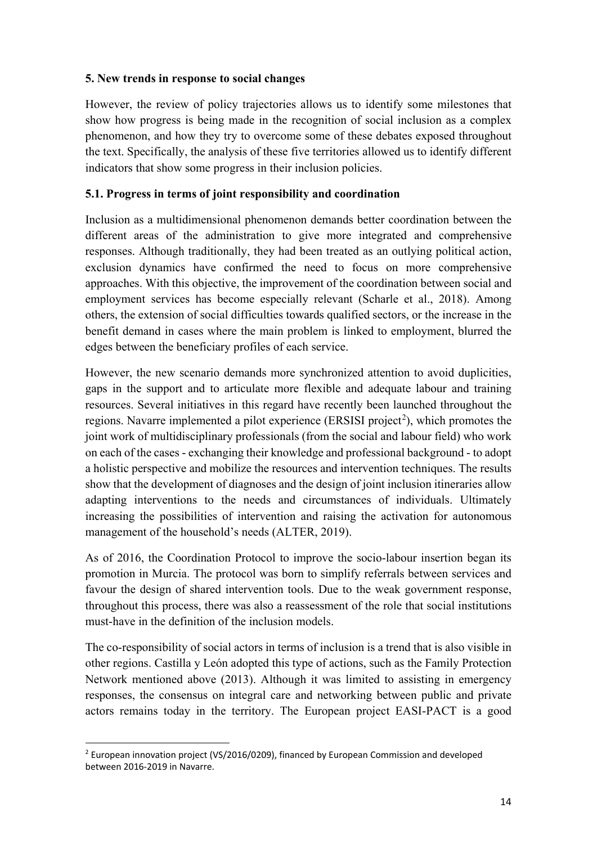# **5. New trends in response to social changes**

However, the review of policy trajectories allows us to identify some milestones that show how progress is being made in the recognition of social inclusion as a complex phenomenon, and how they try to overcome some of these debates exposed throughout the text. Specifically, the analysis of these five territories allowed us to identify different indicators that show some progress in their inclusion policies.

# **5.1. Progress in terms of joint responsibility and coordination**

Inclusion as a multidimensional phenomenon demands better coordination between the different areas of the administration to give more integrated and comprehensive responses. Although traditionally, they had been treated as an outlying political action, exclusion dynamics have confirmed the need to focus on more comprehensive approaches. With this objective, the improvement of the coordination between social and employment services has become especially relevant (Scharle et al., 2018). Among others, the extension of social difficulties towards qualified sectors, or the increase in the benefit demand in cases where the main problem is linked to employment, blurred the edges between the beneficiary profiles of each service.

However, the new scenario demands more synchronized attention to avoid duplicities, gaps in the support and to articulate more flexible and adequate labour and training resources. Several initiatives in this regard have recently been launched throughout the regions. Navarre implemented a pilot experience (ERSISI project<sup>[2](#page-13-0)</sup>), which promotes the joint work of multidisciplinary professionals (from the social and labour field) who work on each of the cases - exchanging their knowledge and professional background - to adopt a holistic perspective and mobilize the resources and intervention techniques. The results show that the development of diagnoses and the design of joint inclusion itineraries allow adapting interventions to the needs and circumstances of individuals. Ultimately increasing the possibilities of intervention and raising the activation for autonomous management of the household's needs (ALTER, 2019).

As of 2016, the Coordination Protocol to improve the socio-labour insertion began its promotion in Murcia. The protocol was born to simplify referrals between services and favour the design of shared intervention tools. Due to the weak government response, throughout this process, there was also a reassessment of the role that social institutions must-have in the definition of the inclusion models.

The co-responsibility of social actors in terms of inclusion is a trend that is also visible in other regions. Castilla y León adopted this type of actions, such as the Family Protection Network mentioned above (2013). Although it was limited to assisting in emergency responses, the consensus on integral care and networking between public and private actors remains today in the territory. The European project EASI-PACT is a good

<span id="page-13-0"></span> $2$  European innovation project (VS/2016/0209), financed by European Commission and developed between 2016-2019 in Navarre.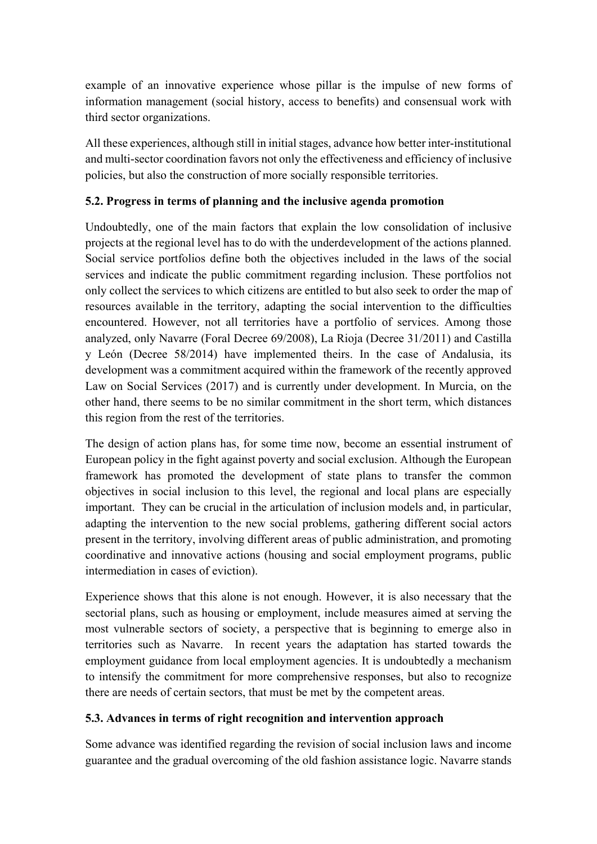example of an innovative experience whose pillar is the impulse of new forms of information management (social history, access to benefits) and consensual work with third sector organizations.

All these experiences, although still in initial stages, advance how better inter-institutional and multi-sector coordination favors not only the effectiveness and efficiency of inclusive policies, but also the construction of more socially responsible territories.

# **5.2. Progress in terms of planning and the inclusive agenda promotion**

Undoubtedly, one of the main factors that explain the low consolidation of inclusive projects at the regional level has to do with the underdevelopment of the actions planned. Social service portfolios define both the objectives included in the laws of the social services and indicate the public commitment regarding inclusion. These portfolios not only collect the services to which citizens are entitled to but also seek to order the map of resources available in the territory, adapting the social intervention to the difficulties encountered. However, not all territories have a portfolio of services. Among those analyzed, only Navarre (Foral Decree 69/2008), La Rioja (Decree 31/2011) and Castilla y León (Decree 58/2014) have implemented theirs. In the case of Andalusia, its development was a commitment acquired within the framework of the recently approved Law on Social Services (2017) and is currently under development. In Murcia, on the other hand, there seems to be no similar commitment in the short term, which distances this region from the rest of the territories.

The design of action plans has, for some time now, become an essential instrument of European policy in the fight against poverty and social exclusion. Although the European framework has promoted the development of state plans to transfer the common objectives in social inclusion to this level, the regional and local plans are especially important. They can be crucial in the articulation of inclusion models and, in particular, adapting the intervention to the new social problems, gathering different social actors present in the territory, involving different areas of public administration, and promoting coordinative and innovative actions (housing and social employment programs, public intermediation in cases of eviction).

Experience shows that this alone is not enough. However, it is also necessary that the sectorial plans, such as housing or employment, include measures aimed at serving the most vulnerable sectors of society, a perspective that is beginning to emerge also in territories such as Navarre. In recent years the adaptation has started towards the employment guidance from local employment agencies. It is undoubtedly a mechanism to intensify the commitment for more comprehensive responses, but also to recognize there are needs of certain sectors, that must be met by the competent areas.

# **5.3. Advances in terms of right recognition and intervention approach**

Some advance was identified regarding the revision of social inclusion laws and income guarantee and the gradual overcoming of the old fashion assistance logic. Navarre stands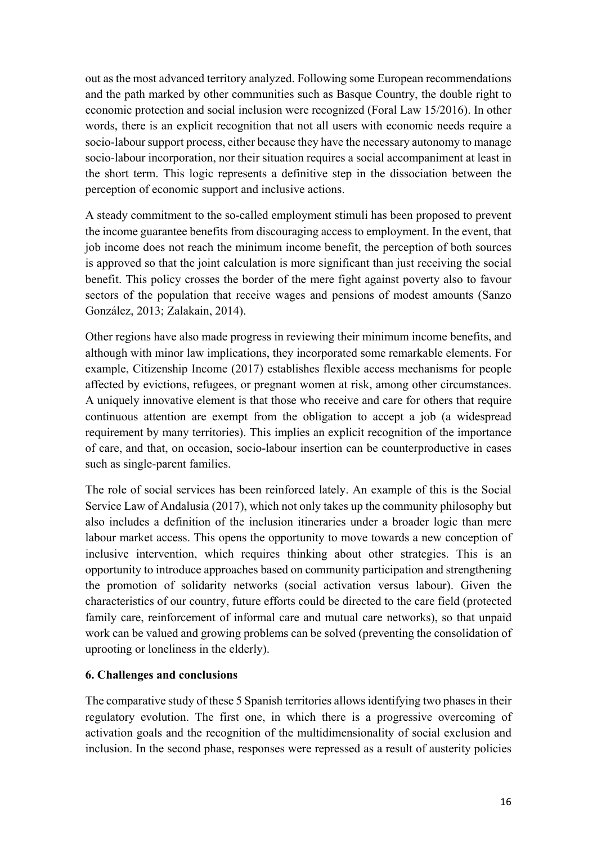out as the most advanced territory analyzed. Following some European recommendations and the path marked by other communities such as Basque Country, the double right to economic protection and social inclusion were recognized (Foral Law 15/2016). In other words, there is an explicit recognition that not all users with economic needs require a socio-labour support process, either because they have the necessary autonomy to manage socio-labour incorporation, nor their situation requires a social accompaniment at least in the short term. This logic represents a definitive step in the dissociation between the perception of economic support and inclusive actions.

A steady commitment to the so-called employment stimuli has been proposed to prevent the income guarantee benefits from discouraging access to employment. In the event, that job income does not reach the minimum income benefit, the perception of both sources is approved so that the joint calculation is more significant than just receiving the social benefit. This policy crosses the border of the mere fight against poverty also to favour sectors of the population that receive wages and pensions of modest amounts (Sanzo González, 2013; Zalakain, 2014).

Other regions have also made progress in reviewing their minimum income benefits, and although with minor law implications, they incorporated some remarkable elements. For example, Citizenship Income (2017) establishes flexible access mechanisms for people affected by evictions, refugees, or pregnant women at risk, among other circumstances. A uniquely innovative element is that those who receive and care for others that require continuous attention are exempt from the obligation to accept a job (a widespread requirement by many territories). This implies an explicit recognition of the importance of care, and that, on occasion, socio-labour insertion can be counterproductive in cases such as single-parent families.

The role of social services has been reinforced lately. An example of this is the Social Service Law of Andalusia (2017), which not only takes up the community philosophy but also includes a definition of the inclusion itineraries under a broader logic than mere labour market access. This opens the opportunity to move towards a new conception of inclusive intervention, which requires thinking about other strategies. This is an opportunity to introduce approaches based on community participation and strengthening the promotion of solidarity networks (social activation versus labour). Given the characteristics of our country, future efforts could be directed to the care field (protected family care, reinforcement of informal care and mutual care networks), so that unpaid work can be valued and growing problems can be solved (preventing the consolidation of uprooting or loneliness in the elderly).

# **6. Challenges and conclusions**

The comparative study of these 5 Spanish territories allows identifying two phases in their regulatory evolution. The first one, in which there is a progressive overcoming of activation goals and the recognition of the multidimensionality of social exclusion and inclusion. In the second phase, responses were repressed as a result of austerity policies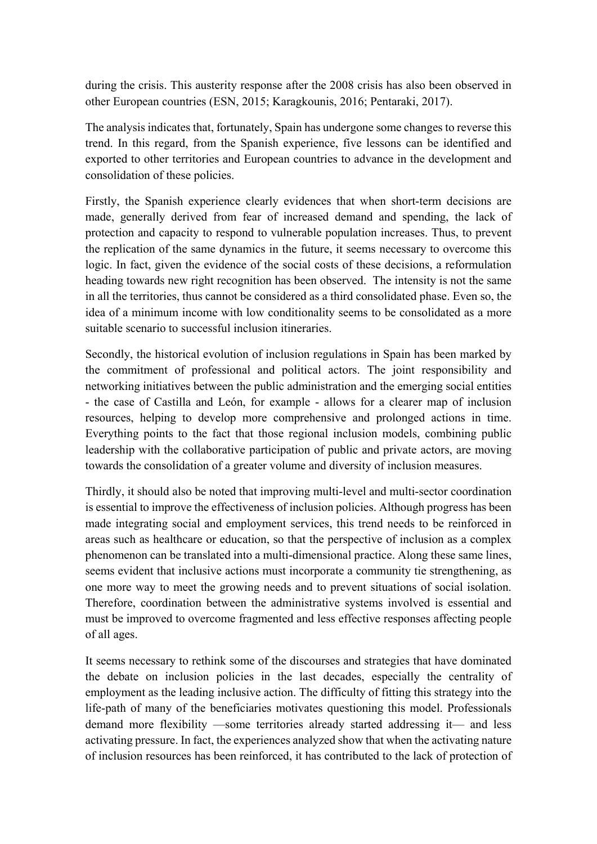during the crisis. This austerity response after the 2008 crisis has also been observed in other European countries (ESN, 2015; Karagkounis, 2016; Pentaraki, 2017).

The analysis indicates that, fortunately, Spain has undergone some changes to reverse this trend. In this regard, from the Spanish experience, five lessons can be identified and exported to other territories and European countries to advance in the development and consolidation of these policies.

Firstly, the Spanish experience clearly evidences that when short-term decisions are made, generally derived from fear of increased demand and spending, the lack of protection and capacity to respond to vulnerable population increases. Thus, to prevent the replication of the same dynamics in the future, it seems necessary to overcome this logic. In fact, given the evidence of the social costs of these decisions, a reformulation heading towards new right recognition has been observed. The intensity is not the same in all the territories, thus cannot be considered as a third consolidated phase. Even so, the idea of a minimum income with low conditionality seems to be consolidated as a more suitable scenario to successful inclusion itineraries.

Secondly, the historical evolution of inclusion regulations in Spain has been marked by the commitment of professional and political actors. The joint responsibility and networking initiatives between the public administration and the emerging social entities - the case of Castilla and León, for example - allows for a clearer map of inclusion resources, helping to develop more comprehensive and prolonged actions in time. Everything points to the fact that those regional inclusion models, combining public leadership with the collaborative participation of public and private actors, are moving towards the consolidation of a greater volume and diversity of inclusion measures.

Thirdly, it should also be noted that improving multi-level and multi-sector coordination is essential to improve the effectiveness of inclusion policies. Although progress has been made integrating social and employment services, this trend needs to be reinforced in areas such as healthcare or education, so that the perspective of inclusion as a complex phenomenon can be translated into a multi-dimensional practice. Along these same lines, seems evident that inclusive actions must incorporate a community tie strengthening, as one more way to meet the growing needs and to prevent situations of social isolation. Therefore, coordination between the administrative systems involved is essential and must be improved to overcome fragmented and less effective responses affecting people of all ages.

It seems necessary to rethink some of the discourses and strategies that have dominated the debate on inclusion policies in the last decades, especially the centrality of employment as the leading inclusive action. The difficulty of fitting this strategy into the life-path of many of the beneficiaries motivates questioning this model. Professionals demand more flexibility —some territories already started addressing it— and less activating pressure. In fact, the experiences analyzed show that when the activating nature of inclusion resources has been reinforced, it has contributed to the lack of protection of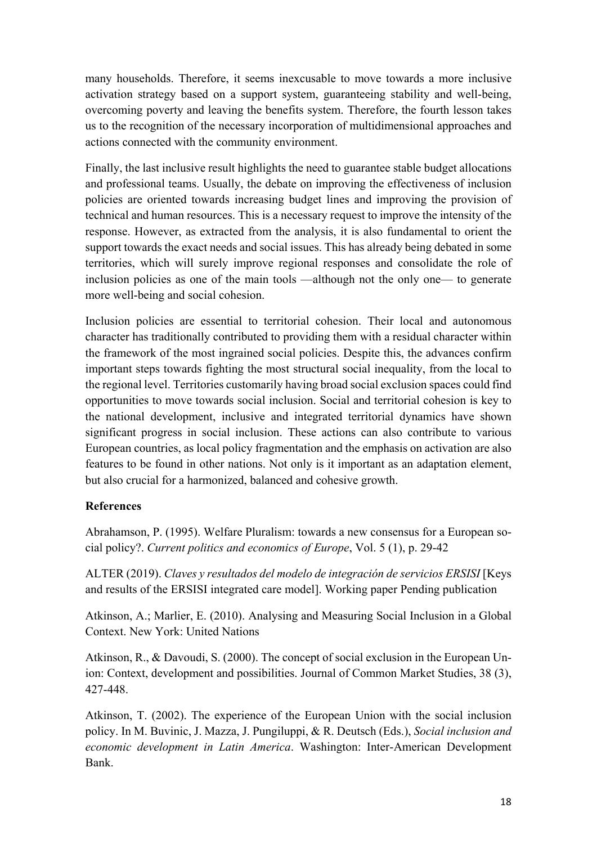many households. Therefore, it seems inexcusable to move towards a more inclusive activation strategy based on a support system, guaranteeing stability and well-being, overcoming poverty and leaving the benefits system. Therefore, the fourth lesson takes us to the recognition of the necessary incorporation of multidimensional approaches and actions connected with the community environment.

Finally, the last inclusive result highlights the need to guarantee stable budget allocations and professional teams. Usually, the debate on improving the effectiveness of inclusion policies are oriented towards increasing budget lines and improving the provision of technical and human resources. This is a necessary request to improve the intensity of the response. However, as extracted from the analysis, it is also fundamental to orient the support towards the exact needs and social issues. This has already being debated in some territories, which will surely improve regional responses and consolidate the role of inclusion policies as one of the main tools —although not the only one— to generate more well-being and social cohesion.

Inclusion policies are essential to territorial cohesion. Their local and autonomous character has traditionally contributed to providing them with a residual character within the framework of the most ingrained social policies. Despite this, the advances confirm important steps towards fighting the most structural social inequality, from the local to the regional level. Territories customarily having broad social exclusion spaces could find opportunities to move towards social inclusion. Social and territorial cohesion is key to the national development, inclusive and integrated territorial dynamics have shown significant progress in social inclusion. These actions can also contribute to various European countries, as local policy fragmentation and the emphasis on activation are also features to be found in other nations. Not only is it important as an adaptation element, but also crucial for a harmonized, balanced and cohesive growth.

# **References**

Abrahamson, P. (1995). Welfare Pluralism: towards a new consensus for a European social policy?. *Current politics and economics of Europe*, Vol. 5 (1), p. 29-42

ALTER (2019). *Claves y resultados del modelo de integración de servicios ERSISI* [Keys and results of the ERSISI integrated care model]. Working paper Pending publication

Atkinson, A.; Marlier, E. (2010). Analysing and Measuring Social Inclusion in a Global Context. New York: United Nations

Atkinson, R., & Davoudi, S. (2000). The concept of social exclusion in the European Union: Context, development and possibilities. Journal of Common Market Studies, 38 (3), 427-448.

Atkinson, T. (2002). The experience of the European Union with the social inclusion policy. In M. Buvinic, J. Mazza, J. Pungiluppi, & R. Deutsch (Eds.), *Social inclusion and economic development in Latin America*. Washington: Inter-American Development Bank.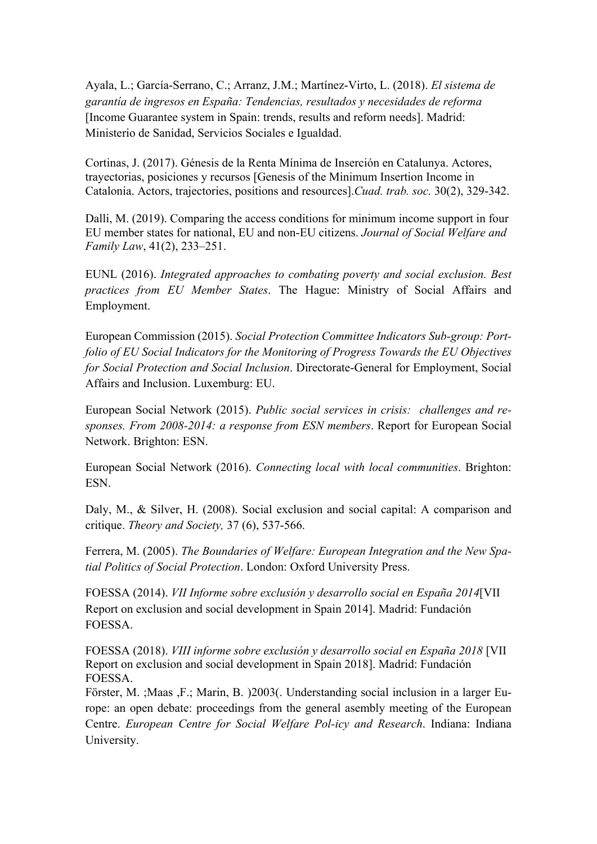Ayala, L.; García-Serrano, C.; Arranz, J.M.; Martínez-Virto, L. (2018). *El sistema de garantía de ingresos en España: Tendencias, resultados y necesidades de reforma* [Income Guarantee system in Spain: trends, results and reform needs]. Madrid: Ministerio de Sanidad, Servicios Sociales e Igualdad.

Cortinas, J. (2017). Génesis de la Renta Mínima de Inserción en Catalunya. Actores, trayectorias, posiciones y recursos [Genesis of the Minimum Insertion Income in Catalonia. Actors, trajectories, positions and resources].*Cuad. trab. soc.* 30(2), 329-342.

Dalli, M. (2019). Comparing the access conditions for minimum income support in four EU member states for national, EU and non-EU citizens. *Journal of Social Welfare and Family Law*, 41(2), 233–251.

EUNL (2016). *Integrated approaches to combating poverty and social exclusion. Best practices from EU Member States*. The Hague: Ministry of Social Affairs and Employment.

European Commission (2015). *Social Protection Committee Indicators Sub-group: Portfolio of EU Social Indicators for the Monitoring of Progress Towards the EU Objectives for Social Protection and Social Inclusion*. Directorate-General for Employment, Social Affairs and Inclusion. Luxemburg: EU.

European Social Network (2015). *Public social services in crisis: challenges and responses. From 2008-2014: a response from ESN members*. Report for European Social Network. Brighton: ESN.

European Social Network (2016). *Connecting local with local communities*. Brighton: ESN.

Daly, M., & Silver, H. (2008). Social exclusion and social capital: A comparison and critique. *Theory and Society,* 37 (6), 537-566.

Ferrera, M. (2005). *The Boundaries of Welfare: European Integration and the New Spatial Politics of Social Protection*. London: Oxford University Press.

FOESSA (2014). *VII Informe sobre exclusión y desarrollo social en España 2014*[VII Report on exclusion and social development in Spain 2014]. Madrid: Fundación FOESSA.

FOESSA (2018). *VIII informe sobre exclusión y desarrollo social en España 2018* [VII Report on exclusion and social development in Spain 2018]. Madrid: Fundación FOESSA.

Förster, M. ;Maas ,F.; Marin, B. )2003(. Understanding social inclusion in a larger Europe: an open debate: proceedings from the general asembly meeting of the European Centre. *European Centre for Social Welfare Pol-icy and Research*. Indiana: Indiana University.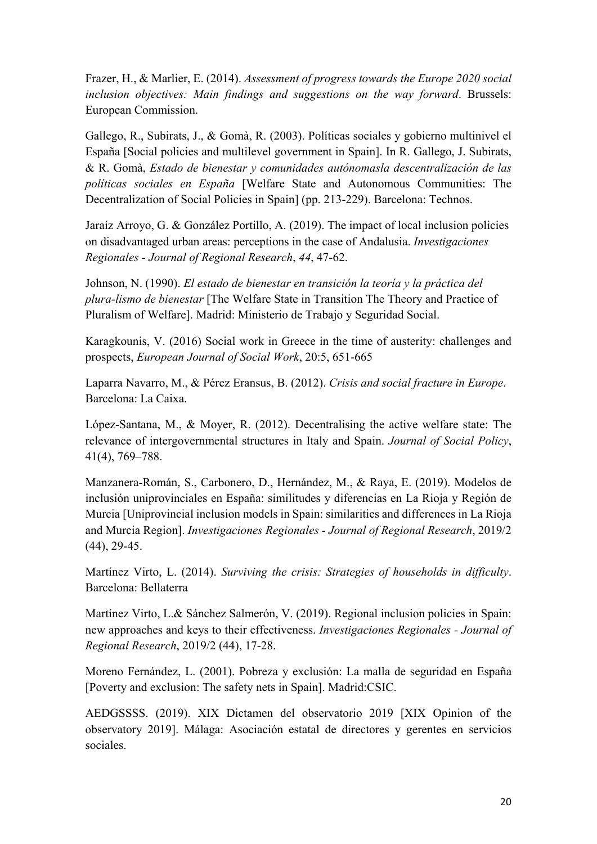Frazer, H., & Marlier, E. (2014). *Assessment of progress towards the Europe 2020 social inclusion objectives: Main findings and suggestions on the way forward*. Brussels: European Commission.

Gallego, R., Subirats, J., & Gomà, R. (2003). Políticas sociales y gobierno multinivel el España [Social policies and multilevel government in Spain]. In R. Gallego, J. Subirats, & R. Gomà, *Estado de bienestar y comunidades autónomasla descentralización de las políticas sociales en España* [Welfare State and Autonomous Communities: The Decentralization of Social Policies in Spain] (pp. 213-229). Barcelona: Technos.

Jaraíz Arroyo, G. & González Portillo, A. (2019). The impact of local inclusion policies on disadvantaged urban areas: perceptions in the case of Andalusia. *Investigaciones Regionales - Journal of Regional Research*, *44*, 47-62.

Johnson, N. (1990). *El estado de bienestar en transición la teoría y la práctica del plura-lismo de bienestar* [The Welfare State in Transition The Theory and Practice of Pluralism of Welfare]. Madrid: Ministerio de Trabajo y Seguridad Social.

Karagkounis, V. (2016) Social work in Greece in the time of austerity: challenges and prospects, *European Journal of Social Work*, 20:5, 651-665

Laparra Navarro, M., & Pérez Eransus, B. (2012). *Crisis and social fracture in Europe*. Barcelona: La Caixa.

López-Santana, M., & Moyer, R. (2012). Decentralising the active welfare state: The relevance of intergovernmental structures in Italy and Spain. *Journal of Social Policy*, 41(4), 769–788.

Manzanera-Román, S., Carbonero, D., Hernández, M., & Raya, E. (2019). Modelos de inclusión uniprovinciales en España: similitudes y diferencias en La Rioja y Región de Murcia [Uniprovincial inclusion models in Spain: similarities and differences in La Rioja and Murcia Region]. *Investigaciones Regionales - Journal of Regional Research*, 2019/2 (44), 29-45.

Martínez Virto, L. (2014). *Surviving the crisis: Strategies of households in difficulty*. Barcelona: Bellaterra

Martínez Virto, L.& Sánchez Salmerón, V. (2019). Regional inclusion policies in Spain: new approaches and keys to their effectiveness. *Investigaciones Regionales - Journal of Regional Research*, 2019/2 (44), 17-28.

Moreno Fernández, L. (2001). Pobreza y exclusión: La malla de seguridad en España [Poverty and exclusion: The safety nets in Spain]. Madrid:CSIC.

AEDGSSSS. (2019). XIX Dictamen del observatorio 2019 [XIX Opinion of the observatory 2019]. Málaga: Asociación estatal de directores y gerentes en servicios sociales.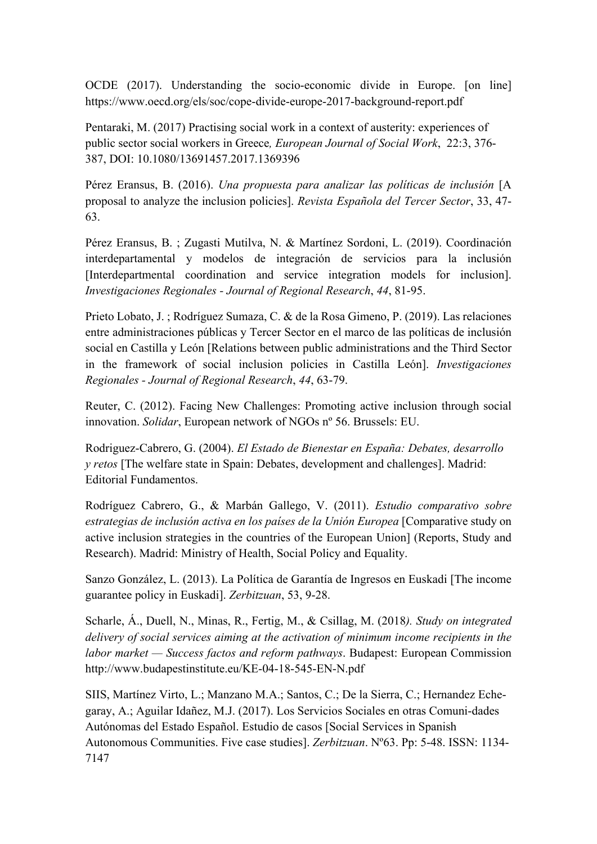OCDE (2017). Understanding the socio-economic divide in Europe. [on line] https://www.oecd.org/els/soc/cope-divide-europe-2017-background-report.pdf

Pentaraki, M. (2017) Practising social work in a context of austerity: experiences of public sector social workers in Greece*, European Journal of Social Work*, 22:3, 376- 387, DOI: 10.1080/13691457.2017.1369396

Pérez Eransus, B. (2016). *Una propuesta para analizar las políticas de inclusión* [A proposal to analyze the inclusion policies]. *Revista Española del Tercer Sector*, 33, 47- 63.

Pérez Eransus, B. ; Zugasti Mutilva, N. & Martínez Sordoni, L. (2019). Coordinación interdepartamental y modelos de integración de servicios para la inclusión [Interdepartmental coordination and service integration models for inclusion]. *Investigaciones Regionales - Journal of Regional Research*, *44*, 81-95.

Prieto Lobato, J. ; Rodríguez Sumaza, C. & de la Rosa Gimeno, P. (2019). Las relaciones entre administraciones públicas y Tercer Sector en el marco de las políticas de inclusión social en Castilla y León [Relations between public administrations and the Third Sector in the framework of social inclusion policies in Castilla León]. *Investigaciones Regionales - Journal of Regional Research*, *44*, 63-79.

Reuter, C. (2012). Facing New Challenges: Promoting active inclusion through social innovation. *Solidar*, European network of NGOs nº 56. Brussels: EU.

Rodriguez-Cabrero, G. (2004). *El Estado de Bienestar en España: Debates, desarrollo y retos* [The welfare state in Spain: Debates, development and challenges]. Madrid: Editorial Fundamentos.

Rodríguez Cabrero, G., & Marbán Gallego, V. (2011). *Estudio comparativo sobre estrategias de inclusión activa en los países de la Unión Europea* [Comparative study on active inclusion strategies in the countries of the European Union] (Reports, Study and Research). Madrid: Ministry of Health, Social Policy and Equality.

Sanzo González, L. (2013). La Política de Garantía de Ingresos en Euskadi [The income guarantee policy in Euskadi]. *Zerbitzuan*, 53, 9-28.

Scharle, Á., Duell, N., Minas, R., Fertig, M., & Csillag, M. (2018*). Study on integrated delivery of social services aiming at the activation of minimum income recipients in the labor market — Success factos and reform pathways*. Budapest: European Commission http://www.budapestinstitute.eu/KE-04-18-545-EN-N.pdf

SIIS, Martínez Virto, L.; Manzano M.A.; Santos, C.; De la Sierra, C.; Hernandez Echegaray, A.; Aguilar Idañez, M.J. (2017). Los Servicios Sociales en otras Comuni-dades Autónomas del Estado Español. Estudio de casos [Social Services in Spanish Autonomous Communities. Five case studies]. *Zerbitzuan*. Nº63. Pp: 5-48. ISSN: 1134- 7147